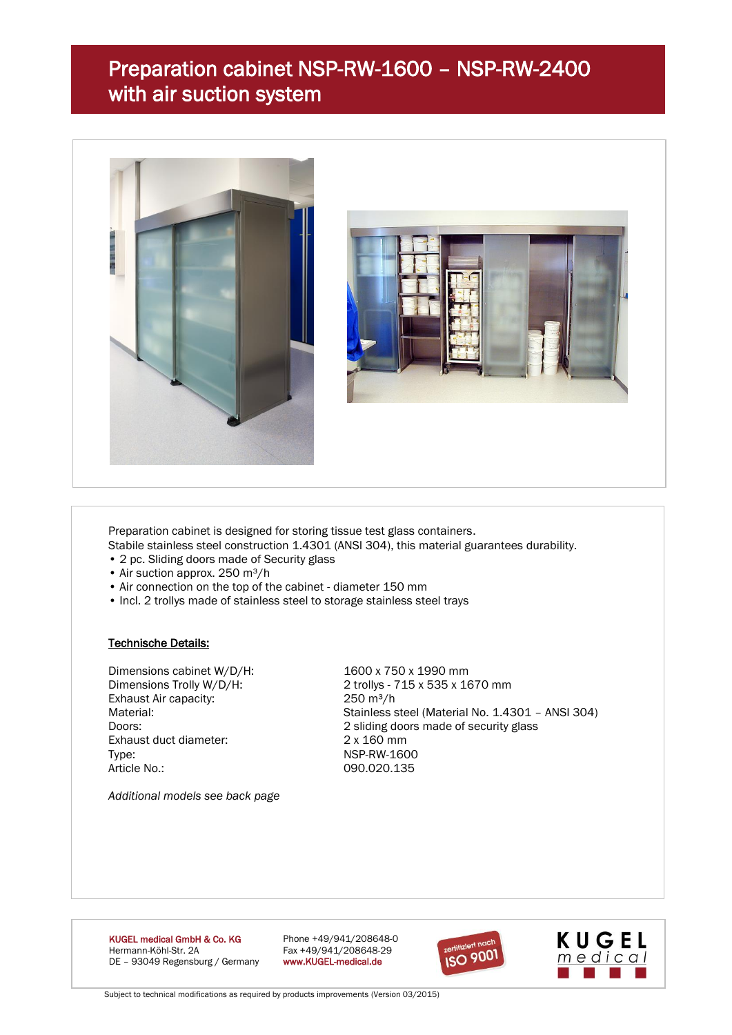## Preparation cabinet NSP-RW-1600 – NSP-RW-2400 with air suction system





Preparation cabinet is designed for storing tissue test glass containers.

Stabile stainless steel construction 1.4301 (ANSI 304), this material guarantees durability.

- 2 pc. Sliding doors made of Security glass
- Air suction approx.  $250 \text{ m}^3/h$
- Air connection on the top of the cabinet diameter 150 mm
- Incl. 2 trollys made of stainless steel to storage stainless steel trays

#### Technische Details:

Dimensions cabinet W/D/H: 1600 x 750 x 1990 mm Exhaust Air capacity: 250 m<sup>3</sup>/h Exhaust duct diameter: 2 x 160 mm Type: NSP-RW-1600 Article No.: 090.020.135

Dimensions Trolly W/D/H: 2 trollys - 715 x 535 x 1670 mm Material: Material: Stainless steel (Material No. 1.4301 – ANSI 304) Doors: 2 sliding doors made of security glass

*Additional models see back page*

**KUGEL medical GmbH & Co. KG** Phone +49/941/208648-0<br>
Hermann-Köhl-Str. 2A Phone +49/941/208648-29 DE - 93049 Regensburg / Germany

Fax +49/941/208648-29<br>www.KUGEL-medical.de





Subject to technical modifications as required by products improvements (Version 03/2015)